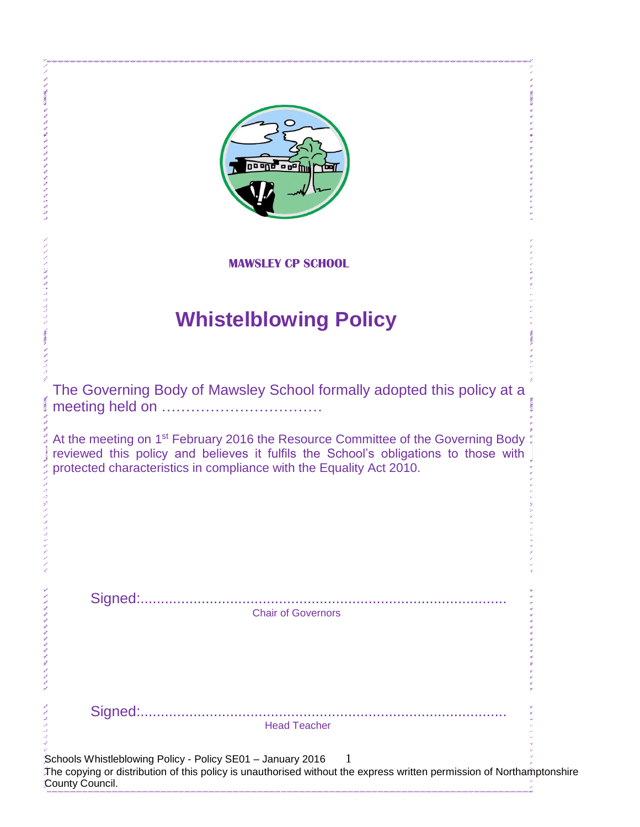| 'a g <sup>a</sup> fni                                                                                                                                                                                                                                      |
|------------------------------------------------------------------------------------------------------------------------------------------------------------------------------------------------------------------------------------------------------------|
| <b>MAWSLEY CP SCHOOL</b>                                                                                                                                                                                                                                   |
| <b>Whistelblowing Policy</b>                                                                                                                                                                                                                               |
| The Governing Body of Mawsley School formally adopted this policy at a                                                                                                                                                                                     |
| At the meeting on 1 <sup>st</sup> February 2016 the Resource Committee of the Governing Body<br>reviewed this policy and believes it fulfils the School's obligations to those with<br>protected characteristics in compliance with the Equality Act 2010. |
|                                                                                                                                                                                                                                                            |
| <b>Chair of Governors</b>                                                                                                                                                                                                                                  |
|                                                                                                                                                                                                                                                            |

comments なんなん なんなん いんだん

いりょくしゅうしょう きょうしょ

アントランジン きょうきょうきょう

A A A A A A A A

Head Teacher

Schools Whistleblowing Policy - Policy SE01 - January 2016  $1$ The copying or distribution of this policy is unauthorised without the express written permission of Northamptonshire County Council. ک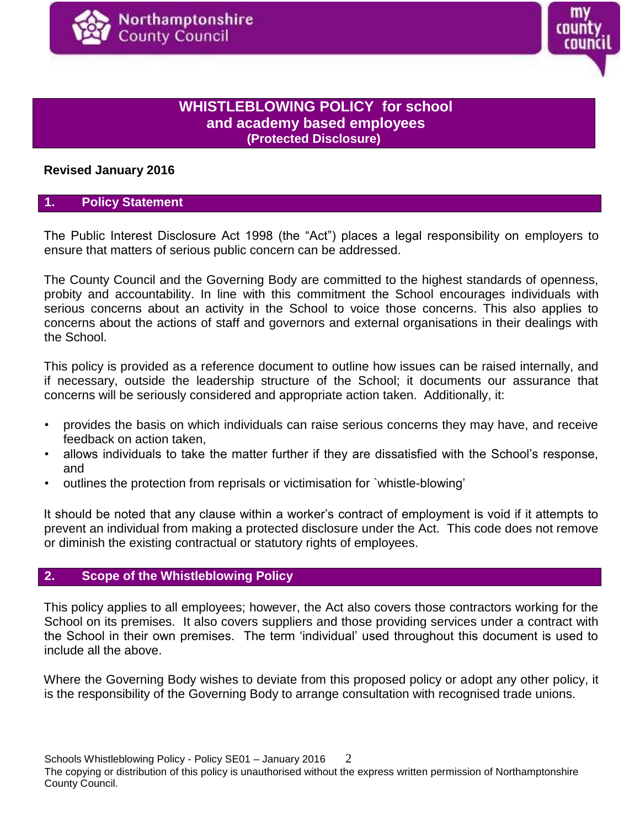

# **WHISTLEBLOWING POLICY for school and academy based employees (Protected Disclosure)**

# **Revised January 2016**

# **1. Policy Statement**

The Public Interest Disclosure Act 1998 (the "Act") places a legal responsibility on employers to ensure that matters of serious public concern can be addressed.

The County Council and the Governing Body are committed to the highest standards of openness, probity and accountability. In line with this commitment the School encourages individuals with serious concerns about an activity in the School to voice those concerns. This also applies to concerns about the actions of staff and governors and external organisations in their dealings with the School.

This policy is provided as a reference document to outline how issues can be raised internally, and if necessary, outside the leadership structure of the School; it documents our assurance that concerns will be seriously considered and appropriate action taken. Additionally, it:

- provides the basis on which individuals can raise serious concerns they may have, and receive feedback on action taken,
- allows individuals to take the matter further if they are dissatisfied with the School's response, and
- outlines the protection from reprisals or victimisation for `whistle-blowing'

It should be noted that any clause within a worker's contract of employment is void if it attempts to prevent an individual from making a protected disclosure under the Act. This code does not remove or diminish the existing contractual or statutory rights of employees.

# **2. Scope of the Whistleblowing Policy**

This policy applies to all employees; however, the Act also covers those contractors working for the School on its premises. It also covers suppliers and those providing services under a contract with the School in their own premises. The term 'individual' used throughout this document is used to include all the above.

Where the Governing Body wishes to deviate from this proposed policy or adopt any other policy, it is the responsibility of the Governing Body to arrange consultation with recognised trade unions.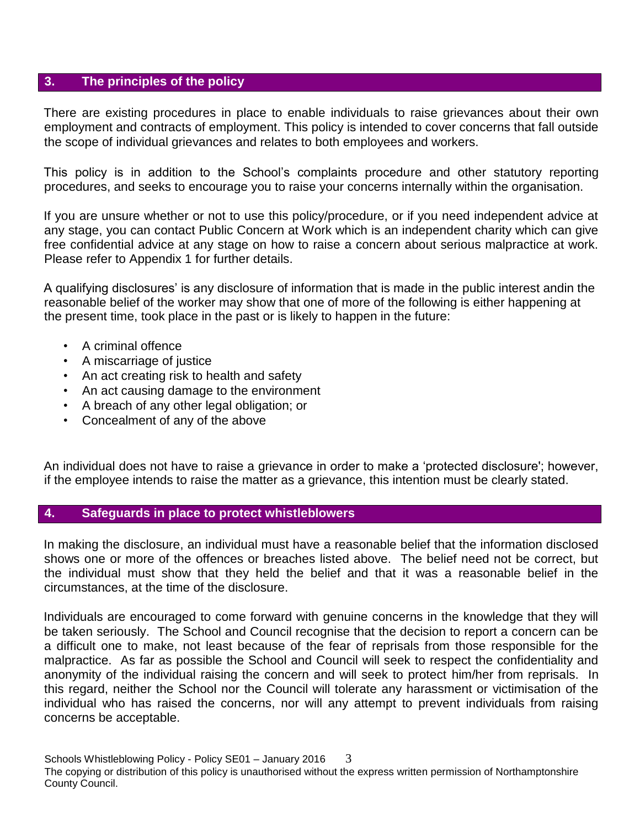### **3. The principles of the policy**

There are existing procedures in place to enable individuals to raise grievances about their own employment and contracts of employment. This policy is intended to cover concerns that fall outside the scope of individual grievances and relates to both employees and workers.

This policy is in addition to the School's complaints procedure and other statutory reporting procedures, and seeks to encourage you to raise your concerns internally within the organisation.

If you are unsure whether or not to use this policy/procedure, or if you need independent advice at any stage, you can contact Public Concern at Work which is an independent charity which can give free confidential advice at any stage on how to raise a concern about serious malpractice at work. Please refer to Appendix 1 for further details.

A qualifying disclosures' is any disclosure of information that is made in the public interest andin the reasonable belief of the worker may show that one of more of the following is either happening at the present time, took place in the past or is likely to happen in the future:

- A criminal offence
- A miscarriage of justice
- An act creating risk to health and safety
- An act causing damage to the environment
- A breach of any other legal obligation; or
- Concealment of any of the above

An individual does not have to raise a grievance in order to make a 'protected disclosure'; however, if the employee intends to raise the matter as a grievance, this intention must be clearly stated.

# **4. Safeguards in place to protect whistleblowers**

In making the disclosure, an individual must have a reasonable belief that the information disclosed shows one or more of the offences or breaches listed above. The belief need not be correct, but the individual must show that they held the belief and that it was a reasonable belief in the circumstances, at the time of the disclosure.

Individuals are encouraged to come forward with genuine concerns in the knowledge that they will be taken seriously. The School and Council recognise that the decision to report a concern can be a difficult one to make, not least because of the fear of reprisals from those responsible for the malpractice. As far as possible the School and Council will seek to respect the confidentiality and anonymity of the individual raising the concern and will seek to protect him/her from reprisals. In this regard, neither the School nor the Council will tolerate any harassment or victimisation of the individual who has raised the concerns, nor will any attempt to prevent individuals from raising concerns be acceptable.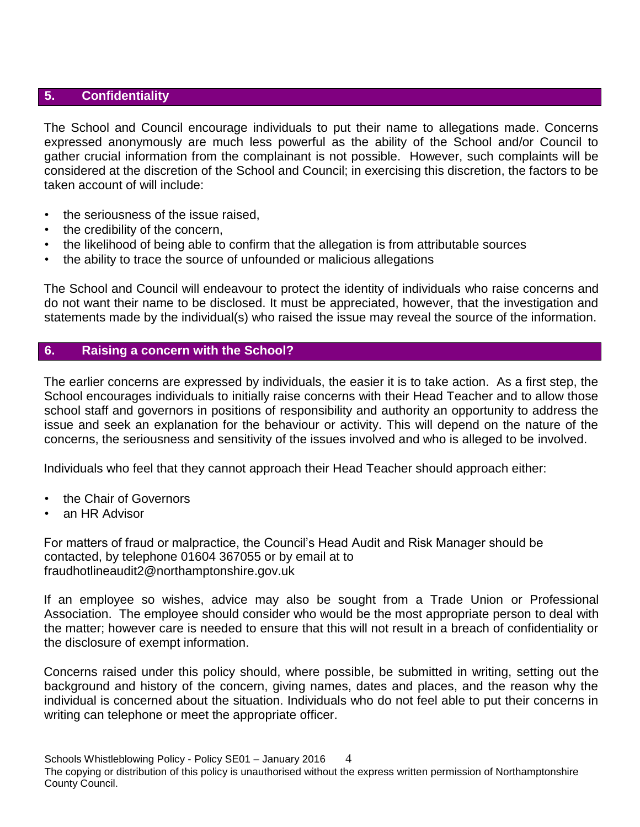# **5. Confidentiality**

The School and Council encourage individuals to put their name to allegations made. Concerns expressed anonymously are much less powerful as the ability of the School and/or Council to gather crucial information from the complainant is not possible. However, such complaints will be considered at the discretion of the School and Council; in exercising this discretion, the factors to be taken account of will include:

- the seriousness of the issue raised.
- the credibility of the concern,
- the likelihood of being able to confirm that the allegation is from attributable sources
- the ability to trace the source of unfounded or malicious allegations

The School and Council will endeavour to protect the identity of individuals who raise concerns and do not want their name to be disclosed. It must be appreciated, however, that the investigation and statements made by the individual(s) who raised the issue may reveal the source of the information.

# **6. Raising a concern with the School?**

The earlier concerns are expressed by individuals, the easier it is to take action. As a first step, the School encourages individuals to initially raise concerns with their Head Teacher and to allow those school staff and governors in positions of responsibility and authority an opportunity to address the issue and seek an explanation for the behaviour or activity. This will depend on the nature of the concerns, the seriousness and sensitivity of the issues involved and who is alleged to be involved.

Individuals who feel that they cannot approach their Head Teacher should approach either:

- the Chair of Governors
- an HR Advisor

For matters of fraud or malpractice, the Council's Head Audit and Risk Manager should be contacted, by telephone 01604 367055 or by email at to fraudhotlineaudit2@northamptonshire.gov.uk

If an employee so wishes, advice may also be sought from a Trade Union or Professional Association. The employee should consider who would be the most appropriate person to deal with the matter; however care is needed to ensure that this will not result in a breach of confidentiality or the disclosure of exempt information.

Concerns raised under this policy should, where possible, be submitted in writing, setting out the background and history of the concern, giving names, dates and places, and the reason why the individual is concerned about the situation. Individuals who do not feel able to put their concerns in writing can telephone or meet the appropriate officer.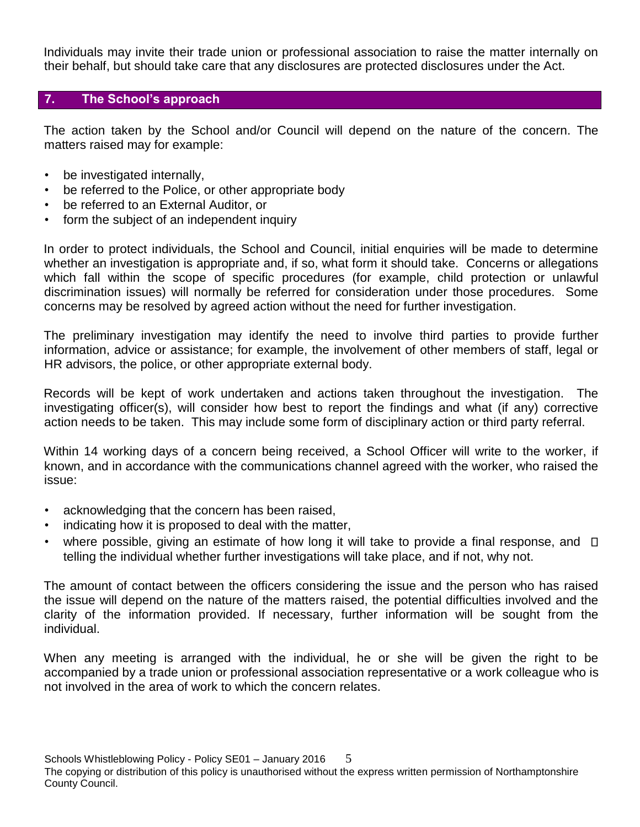Individuals may invite their trade union or professional association to raise the matter internally on their behalf, but should take care that any disclosures are protected disclosures under the Act.

# **7. The School's approach**

The action taken by the School and/or Council will depend on the nature of the concern. The matters raised may for example:

- be investigated internally,
- be referred to the Police, or other appropriate body
- be referred to an External Auditor, or
- form the subject of an independent inquiry

In order to protect individuals, the School and Council, initial enquiries will be made to determine whether an investigation is appropriate and, if so, what form it should take. Concerns or allegations which fall within the scope of specific procedures (for example, child protection or unlawful discrimination issues) will normally be referred for consideration under those procedures. Some concerns may be resolved by agreed action without the need for further investigation.

The preliminary investigation may identify the need to involve third parties to provide further information, advice or assistance; for example, the involvement of other members of staff, legal or HR advisors, the police, or other appropriate external body.

Records will be kept of work undertaken and actions taken throughout the investigation. The investigating officer(s), will consider how best to report the findings and what (if any) corrective action needs to be taken. This may include some form of disciplinary action or third party referral.

Within 14 working days of a concern being received, a School Officer will write to the worker, if known, and in accordance with the communications channel agreed with the worker, who raised the issue:

- acknowledging that the concern has been raised,
- indicating how it is proposed to deal with the matter,
- where possible, giving an estimate of how long it will take to provide a final response, and  $\Box$ telling the individual whether further investigations will take place, and if not, why not.

The amount of contact between the officers considering the issue and the person who has raised the issue will depend on the nature of the matters raised, the potential difficulties involved and the clarity of the information provided. If necessary, further information will be sought from the individual.

When any meeting is arranged with the individual, he or she will be given the right to be accompanied by a trade union or professional association representative or a work colleague who is not involved in the area of work to which the concern relates.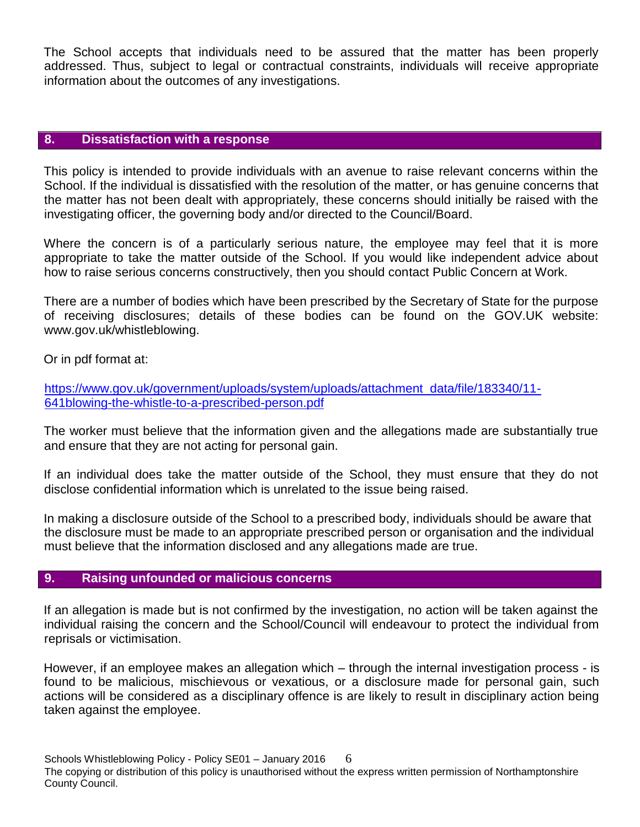The School accepts that individuals need to be assured that the matter has been properly addressed. Thus, subject to legal or contractual constraints, individuals will receive appropriate information about the outcomes of any investigations.

#### **8. Dissatisfaction with a response**

This policy is intended to provide individuals with an avenue to raise relevant concerns within the School. If the individual is dissatisfied with the resolution of the matter, or has genuine concerns that the matter has not been dealt with appropriately, these concerns should initially be raised with the investigating officer, the governing body and/or directed to the Council/Board.

Where the concern is of a particularly serious nature, the employee may feel that it is more appropriate to take the matter outside of the School. If you would like independent advice about how to raise serious concerns constructively, then you should contact Public Concern at Work.

There are a number of bodies which have been prescribed by the Secretary of State for the purpose of receiving disclosures; details of these bodies can be found on the GOV.UK website: [www.gov.uk/whistleblowing.](http://www.gov.uk/whistleblowing)

Or in pdf format at:

[https://www.gov.uk/government/uploads/system/uploads/attachment\\_data/file/183340/11-](https://www.gov.uk/government/uploads/system/uploads/attachment_data/file/183340/11-641-blowing-the-whistle-to-a-prescribed-person.pdf) [641blowing-the-whistle-to-a-prescribed-person.pdf](https://www.gov.uk/government/uploads/system/uploads/attachment_data/file/183340/11-641-blowing-the-whistle-to-a-prescribed-person.pdf)

The worker must believe that the information given and the allegations made are substantially true and ensure that they are not acting for personal gain.

If an individual does take the matter outside of the School, they must ensure that they do not disclose confidential information which is unrelated to the issue being raised.

In making a disclosure outside of the School to a prescribed body, individuals should be aware that the disclosure must be made to an appropriate prescribed person or organisation and the individual must believe that the information disclosed and any allegations made are true.

#### **9. Raising unfounded or malicious concerns**

If an allegation is made but is not confirmed by the investigation, no action will be taken against the individual raising the concern and the School/Council will endeavour to protect the individual from reprisals or victimisation.

However, if an employee makes an allegation which – through the internal investigation process - is found to be malicious, mischievous or vexatious, or a disclosure made for personal gain, such actions will be considered as a disciplinary offence is are likely to result in disciplinary action being taken against the employee.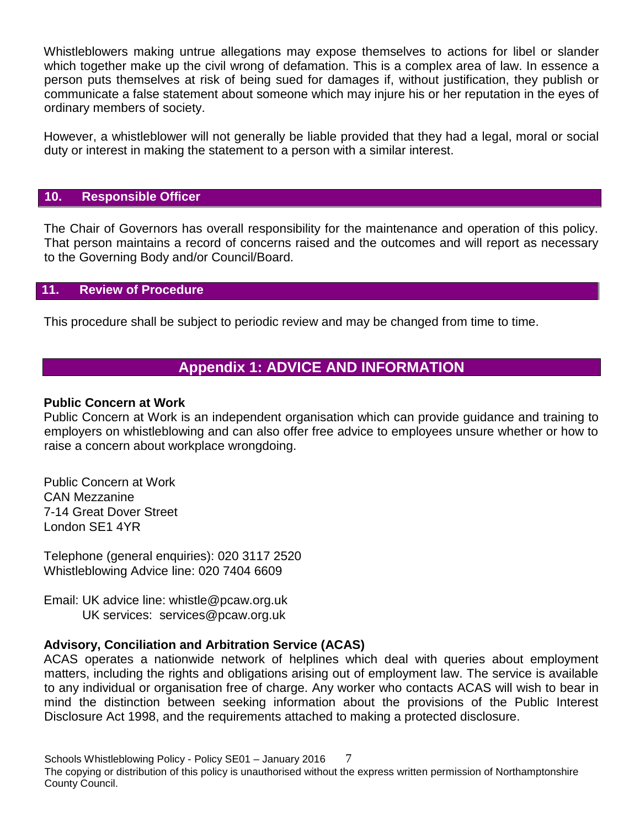Whistleblowers making untrue allegations may expose themselves to actions for libel or slander which together make up the civil wrong of defamation. This is a complex area of law. In essence a person puts themselves at risk of being sued for damages if, without justification, they publish or communicate a false statement about someone which may injure his or her reputation in the eyes of ordinary members of society.

However, a whistleblower will not generally be liable provided that they had a legal, moral or social duty or interest in making the statement to a person with a similar interest.

### **10. Responsible Officer**

The Chair of Governors has overall responsibility for the maintenance and operation of this policy. That person maintains a record of concerns raised and the outcomes and will report as necessary to the Governing Body and/or Council/Board.

# **11. Review of Procedure**

This procedure shall be subject to periodic review and may be changed from time to time.

# **Appendix 1: ADVICE AND INFORMATION**

#### **Public Concern at Work**

[Public Concern at Work i](http://www.pcaw.co.uk/)s an independent organisation which can provide guidance and training to employers on whistleblowing and can also offer free advice to employees unsure whether or how to raise a concern about workplace wrongdoing.

Public Concern at Work CAN Mezzanine 7-14 Great Dover Street London SE1 4YR

Telephone (general enquiries): 020 3117 2520 Whistleblowing Advice line: 020 7404 6609

Email: UK advice line: whistle@pcaw.org.uk UK services: services@pcaw.org.uk

#### **Advisory, Conciliation and Arbitration Service (ACAS)**

ACAS operates a nationwide network of helplines which deal with queries about employment matters, including the rights and obligations arising out of employment law. The service is available to any individual or organisation free of charge. Any worker who contacts ACAS will wish to bear in mind the distinction between seeking information about the provisions of the Public Interest Disclosure Act 1998, and the requirements attached to making a protected disclosure.